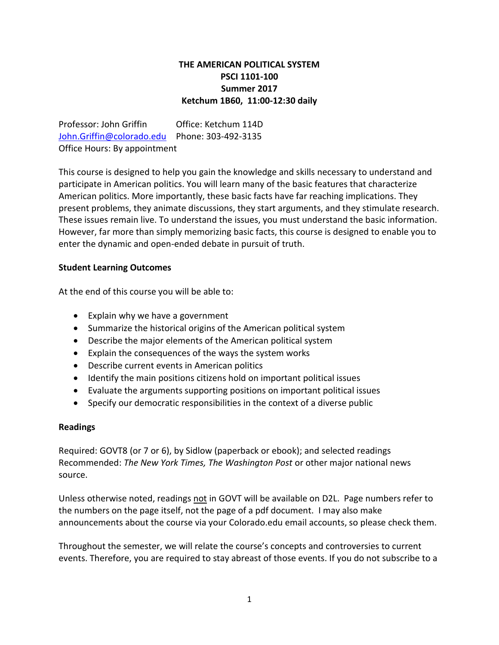# **THE AMERICAN POLITICAL SYSTEM PSCI 1101-100 Summer 2017 Ketchum 1B60, 11:00-12:30 daily**

Professor: John Griffin Office: Ketchum 114D [John.Griffin@colorado.edu](mailto:John.Griffin@colorado.edu) Phone: 303-492-3135 Office Hours: By appointment

This course is designed to help you gain the knowledge and skills necessary to understand and participate in American politics. You will learn many of the basic features that characterize American politics. More importantly, these basic facts have far reaching implications. They present problems, they animate discussions, they start arguments, and they stimulate research. These issues remain live. To understand the issues, you must understand the basic information. However, far more than simply memorizing basic facts, this course is designed to enable you to enter the dynamic and open-ended debate in pursuit of truth.

# **Student Learning Outcomes**

At the end of this course you will be able to:

- Explain why we have a government
- Summarize the historical origins of the American political system
- Describe the major elements of the American political system
- Explain the consequences of the ways the system works
- Describe current events in American politics
- Identify the main positions citizens hold on important political issues
- Evaluate the arguments supporting positions on important political issues
- Specify our democratic responsibilities in the context of a diverse public

#### **Readings**

Required: GOVT8 (or 7 or 6), by Sidlow (paperback or ebook); and selected readings Recommended: *The New York Times, The Washington Post* or other major national news source.

Unless otherwise noted, readings not in GOVT will be available on D2L. Page numbers refer to the numbers on the page itself, not the page of a pdf document. I may also make announcements about the course via your Colorado.edu email accounts, so please check them.

Throughout the semester, we will relate the course's concepts and controversies to current events. Therefore, you are required to stay abreast of those events. If you do not subscribe to a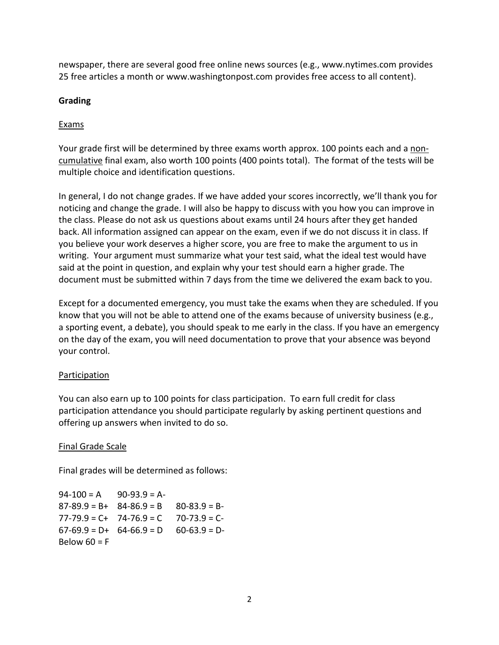newspaper, there are several good free online news sources (e.g., www.nytimes.com provides 25 free articles a month or www.washingtonpost.com provides free access to all content).

# **Grading**

# **Exams**

Your grade first will be determined by three exams worth approx. 100 points each and a noncumulative final exam, also worth 100 points (400 points total). The format of the tests will be multiple choice and identification questions.

In general, I do not change grades. If we have added your scores incorrectly, we'll thank you for noticing and change the grade. I will also be happy to discuss with you how you can improve in the class. Please do not ask us questions about exams until 24 hours after they get handed back. All information assigned can appear on the exam, even if we do not discuss it in class. If you believe your work deserves a higher score, you are free to make the argument to us in writing. Your argument must summarize what your test said, what the ideal test would have said at the point in question, and explain why your test should earn a higher grade. The document must be submitted within 7 days from the time we delivered the exam back to you.

Except for a documented emergency, you must take the exams when they are scheduled. If you know that you will not be able to attend one of the exams because of university business (e.g., a sporting event, a debate), you should speak to me early in the class. If you have an emergency on the day of the exam, you will need documentation to prove that your absence was beyond your control.

# **Participation**

You can also earn up to 100 points for class participation. To earn full credit for class participation attendance you should participate regularly by asking pertinent questions and offering up answers when invited to do so.

# Final Grade Scale

Final grades will be determined as follows:

 $94-100 = A$  90-93.9 = A- $87-89.9 = B+ 84-86.9 = B - 80-83.9 = B 77-79.9 = C+ 74-76.9 = C 70-73.9 = C 67-69.9 = D+ 64-66.9 = D - 60-63.9 = D-$ Below  $60 = F$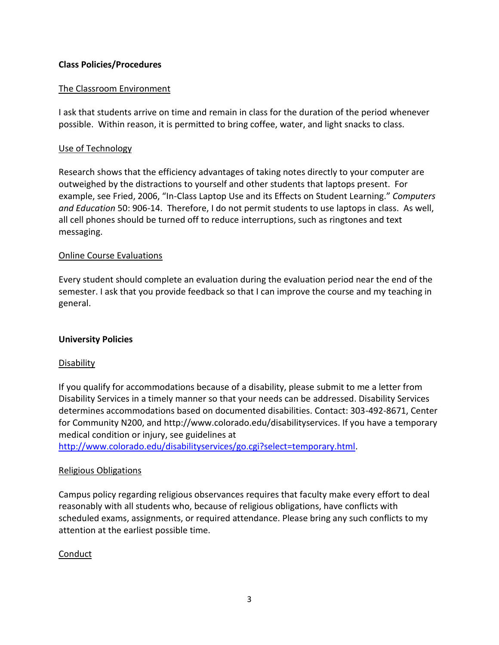### **Class Policies/Procedures**

### The Classroom Environment

I ask that students arrive on time and remain in class for the duration of the period whenever possible. Within reason, it is permitted to bring coffee, water, and light snacks to class.

#### Use of Technology

Research shows that the efficiency advantages of taking notes directly to your computer are outweighed by the distractions to yourself and other students that laptops present. For example, see Fried, 2006, "In-Class Laptop Use and its Effects on Student Learning." *Computers and Education* 50: 906-14. Therefore, I do not permit students to use laptops in class. As well, all cell phones should be turned off to reduce interruptions, such as ringtones and text messaging.

#### Online Course Evaluations

Every student should complete an evaluation during the evaluation period near the end of the semester. I ask that you provide feedback so that I can improve the course and my teaching in general.

#### **University Policies**

#### **Disability**

If you qualify for accommodations because of a disability, please submit to me a letter from Disability Services in a timely manner so that your needs can be addressed. Disability Services determines accommodations based on documented disabilities. Contact: 303-492-8671, Center for Community N200, and http://www.colorado.edu/disabilityservices. If you have a temporary medical condition or injury, see guidelines at

[http://www.colorado.edu/disabilityservices/go.cgi?select=temporary.html.](http://www.colorado.edu/disabilityservices/go.cgi?select=temporary.html)

# Religious Obligations

Campus policy regarding religious observances requires that faculty make every effort to deal reasonably with all students who, because of religious obligations, have conflicts with scheduled exams, assignments, or required attendance. Please bring any such conflicts to my attention at the earliest possible time.

# Conduct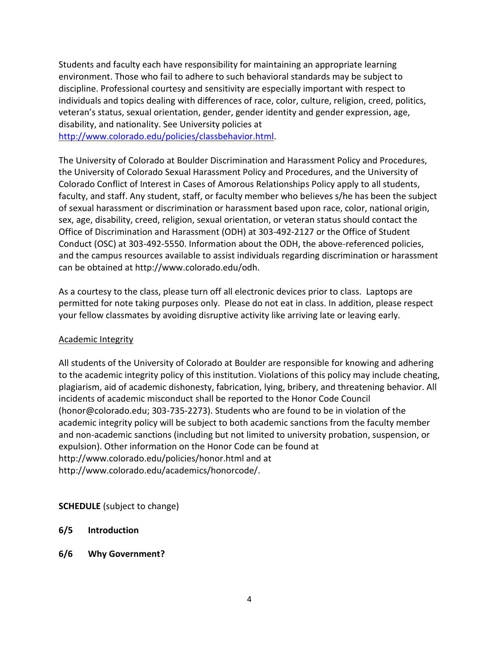Students and faculty each have responsibility for maintaining an appropriate learning environment. Those who fail to adhere to such behavioral standards may be subject to discipline. Professional courtesy and sensitivity are especially important with respect to individuals and topics dealing with differences of race, color, culture, religion, creed, politics, veteran's status, sexual orientation, gender, gender identity and gender expression, age, disability, and nationality. See University policies at [http://www.colorado.edu/policies/classbehavior.html.](http://www.colorado.edu/policies/classbehavior.html)

The University of Colorado at Boulder Discrimination and Harassment Policy and Procedures, the University of Colorado Sexual Harassment Policy and Procedures, and the University of Colorado Conflict of Interest in Cases of Amorous Relationships Policy apply to all students, faculty, and staff. Any student, staff, or faculty member who believes s/he has been the subject of sexual harassment or discrimination or harassment based upon race, color, national origin, sex, age, disability, creed, religion, sexual orientation, or veteran status should contact the Office of Discrimination and Harassment (ODH) at 303-492-2127 or the Office of Student Conduct (OSC) at 303-492-5550. Information about the ODH, the above-referenced policies, and the campus resources available to assist individuals regarding discrimination or harassment can be obtained at http://www.colorado.edu/odh.

As a courtesy to the class, please turn off all electronic devices prior to class. Laptops are permitted for note taking purposes only. Please do not eat in class. In addition, please respect your fellow classmates by avoiding disruptive activity like arriving late or leaving early.

# Academic Integrity

All students of the University of Colorado at Boulder are responsible for knowing and adhering to the academic integrity policy of this institution. Violations of this policy may include cheating, plagiarism, aid of academic dishonesty, fabrication, lying, bribery, and threatening behavior. All incidents of academic misconduct shall be reported to the Honor Code Council (honor@colorado.edu; 303-735-2273). Students who are found to be in violation of the academic integrity policy will be subject to both academic sanctions from the faculty member and non-academic sanctions (including but not limited to university probation, suspension, or expulsion). Other information on the Honor Code can be found at http://www.colorado.edu/policies/honor.html and at http://www.colorado.edu/academics/honorcode/.

# **SCHEDULE** (subject to change)

- **6/5 Introduction**
- **6/6 Why Government?**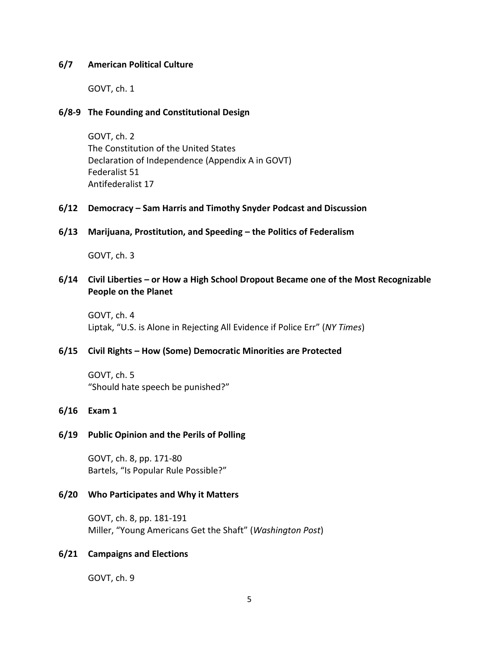#### **6/7 American Political Culture**

GOVT, ch. 1

#### **6/8-9 The Founding and Constitutional Design**

GOVT, ch. 2 The Constitution of the United States Declaration of Independence (Appendix A in GOVT) Federalist 51 Antifederalist 17

#### **6/12 Democracy – Sam Harris and Timothy Snyder Podcast and Discussion**

**6/13 Marijuana, Prostitution, and Speeding – the Politics of Federalism**

GOVT, ch. 3

### **6/14 Civil Liberties – or How a High School Dropout Became one of the Most Recognizable People on the Planet**

GOVT, ch. 4 Liptak, "U.S. is Alone in Rejecting All Evidence if Police Err" (*NY Times*)

#### **6/15 Civil Rights – How (Some) Democratic Minorities are Protected**

GOVT, ch. 5 "Should hate speech be punished?"

#### **6/16 Exam 1**

#### **6/19 Public Opinion and the Perils of Polling**

GOVT, ch. 8, pp. 171-80 Bartels, "Is Popular Rule Possible?"

#### **6/20 Who Participates and Why it Matters**

GOVT, ch. 8, pp. 181-191 Miller, "Young Americans Get the Shaft" (*Washington Post*)

#### **6/21 Campaigns and Elections**

GOVT, ch. 9